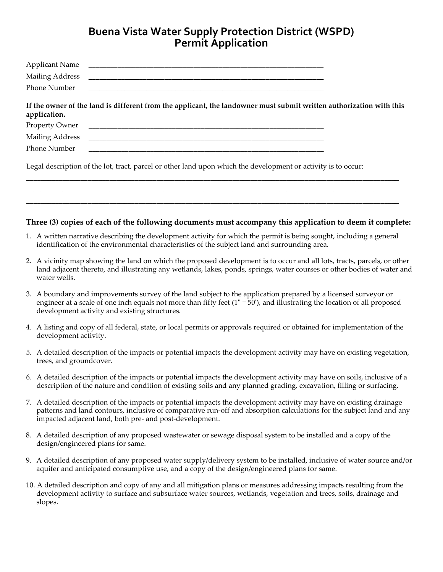## **Buena Vista Water Supply Protection District (WSPD) Permit Application**

| <b>Applicant Name</b><br><b>Mailing Address</b><br>Phone Number                                                                                                                                                                                                                                |                                                                                                                                                                                                                                                                                                                                   |  |
|------------------------------------------------------------------------------------------------------------------------------------------------------------------------------------------------------------------------------------------------------------------------------------------------|-----------------------------------------------------------------------------------------------------------------------------------------------------------------------------------------------------------------------------------------------------------------------------------------------------------------------------------|--|
| application.<br>Property Owner<br><b>Mailing Address</b><br>Phone Number                                                                                                                                                                                                                       | If the owner of the land is different from the applicant, the landowner must submit written authorization with this                                                                                                                                                                                                               |  |
|                                                                                                                                                                                                                                                                                                | Legal description of the lot, tract, parcel or other land upon which the development or activity is to occur:                                                                                                                                                                                                                     |  |
|                                                                                                                                                                                                                                                                                                | Three (3) copies of each of the following documents must accompany this application to deem it complete:<br>1. A written narrative describing the development activity for which the permit is being sought, including a general<br>identification of the environmental characteristics of the subject land and surrounding area. |  |
| 2. A vicinity map showing the land on which the proposed development is to occur and all lots, tracts, parcels, or other<br>land adjacent thereto, and illustrating any wetlands, lakes, ponds, springs, water courses or other bodies of water and<br>water wells.                            |                                                                                                                                                                                                                                                                                                                                   |  |
| 3. A boundary and improvements survey of the land subject to the application prepared by a licensed surveyor or<br>engineer at a scale of one inch equals not more than fifty feet $(1 - 50)$ , and illustrating the location of all proposed<br>development activity and existing structures. |                                                                                                                                                                                                                                                                                                                                   |  |
| development activity.                                                                                                                                                                                                                                                                          | 4. A listing and copy of all federal, state, or local permits or approvals required or obtained for implementation of the                                                                                                                                                                                                         |  |
| 5. A detailed description of the impacts or potential impacts the development activity may have on existing vegetation,<br>trees, and groundcover.                                                                                                                                             |                                                                                                                                                                                                                                                                                                                                   |  |
|                                                                                                                                                                                                                                                                                                | 6. A detailed description of the impacts or potential impacts the development activity may have on soils, inclusive of a                                                                                                                                                                                                          |  |

7. A detailed description of the impacts or potential impacts the development activity may have on existing drainage patterns and land contours, inclusive of comparative run-off and absorption calculations for the subject land and any

description of the nature and condition of existing soils and any planned grading, excavation, filling or surfacing.

8. A detailed description of any proposed wastewater or sewage disposal system to be installed and a copy of the design/engineered plans for same.

impacted adjacent land, both pre- and post-development.

- 9. A detailed description of any proposed water supply/delivery system to be installed, inclusive of water source and/or aquifer and anticipated consumptive use, and a copy of the design/engineered plans for same.
- 10. A detailed description and copy of any and all mitigation plans or measures addressing impacts resulting from the development activity to surface and subsurface water sources, wetlands, vegetation and trees, soils, drainage and slopes.